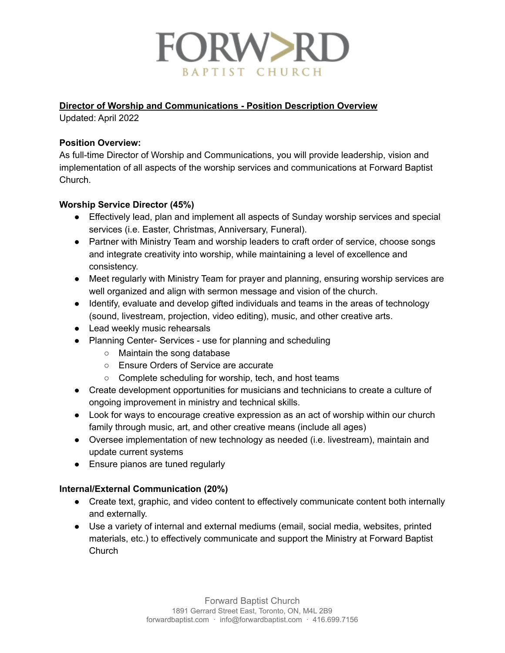

### **Director of Worship and Communications - Position Description Overview**

Updated: April 2022

### **Position Overview:**

As full-time Director of Worship and Communications, you will provide leadership, vision and implementation of all aspects of the worship services and communications at Forward Baptist Church.

### **Worship Service Director (45%)**

- Effectively lead, plan and implement all aspects of Sunday worship services and special services (i.e. Easter, Christmas, Anniversary, Funeral).
- Partner with Ministry Team and worship leaders to craft order of service, choose songs and integrate creativity into worship, while maintaining a level of excellence and consistency.
- Meet regularly with Ministry Team for prayer and planning, ensuring worship services are well organized and align with sermon message and vision of the church.
- Identify, evaluate and develop gifted individuals and teams in the areas of technology (sound, livestream, projection, video editing), music, and other creative arts.
- Lead weekly music rehearsals
- Planning Center- Services use for planning and scheduling
	- Maintain the song database
	- Ensure Orders of Service are accurate
	- Complete scheduling for worship, tech, and host teams
- Create development opportunities for musicians and technicians to create a culture of ongoing improvement in ministry and technical skills.
- Look for ways to encourage creative expression as an act of worship within our church family through music, art, and other creative means (include all ages)
- Oversee implementation of new technology as needed (i.e. livestream), maintain and update current systems
- Ensure pianos are tuned regularly

### **Internal/External Communication (20%)**

- Create text, graphic, and video content to effectively communicate content both internally and externally.
- Use a variety of internal and external mediums (email, social media, websites, printed materials, etc.) to effectively communicate and support the Ministry at Forward Baptist Church